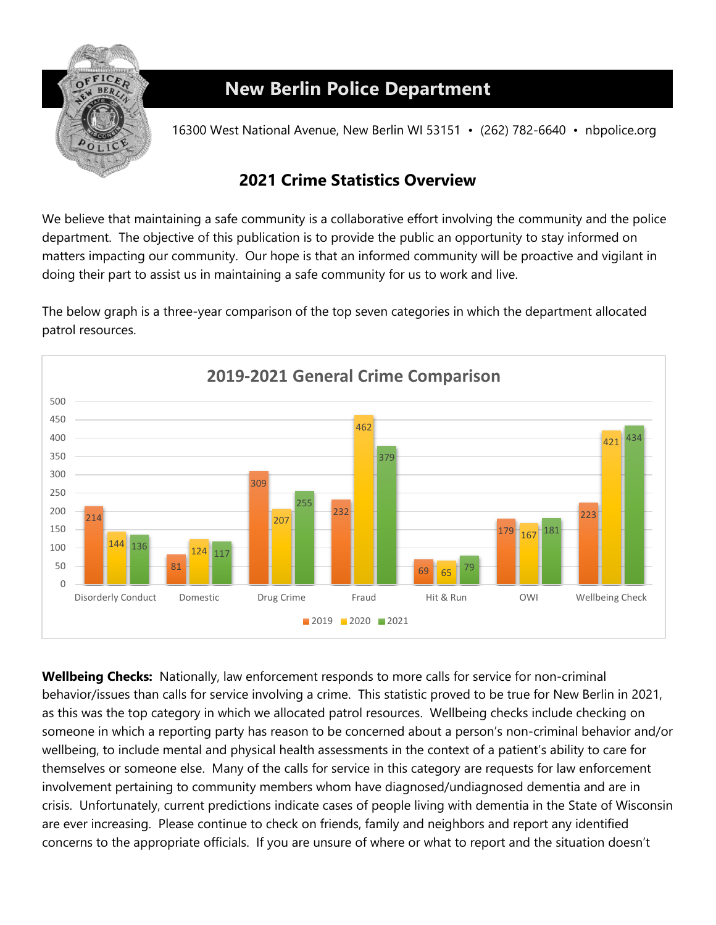

## **New Berlin Police Department**

16300 West National Avenue, New Berlin WI 53151 • (262) 782-6640 • nbpolice.org

## **Crime Statistics Overview**

We believe that maintaining a safe community is a collaborative effort involving the community and the police department. The objective of this publication is to provide the public an opportunity to stay informed on matters impacting our community. Our hope is that an informed community will be proactive and vigilant in doing their part to assist us in maintaining a safe community for us to work and live.

The below graph is a three-year comparison of the top seven categories in which the department allocated patrol resources.



**Wellbeing Checks:** Nationally, law enforcement responds to more calls for service for non-criminal behavior/issues than calls for service involving a crime. This statistic proved to be true for New Berlin in 2021, as this was the top category in which we allocated patrol resources. Wellbeing checks include checking on someone in which a reporting party has reason to be concerned about a person's non-criminal behavior and/or wellbeing, to include mental and physical health assessments in the context of a patient's ability to care for themselves or someone else. Many of the calls for service in this category are requests for law enforcement involvement pertaining to community members whom have diagnosed/undiagnosed dementia and are in crisis. Unfortunately, current predictions indicate cases of people living with dementia in the State of Wisconsin are ever increasing. Please continue to check on friends, family and neighbors and report any identified concerns to the appropriate officials. If you are unsure of where or what to report and the situation doesn't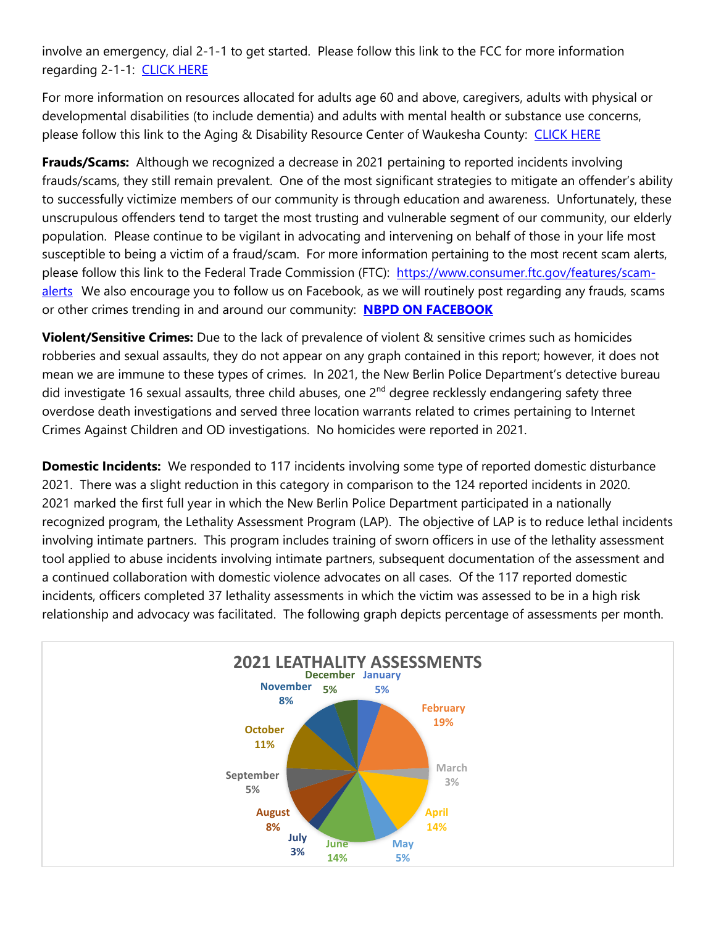involve an emergency, dial 2-1-1 to get started. Please follow this link to the FCC for more information regarding 2-1-1: CLICK HERE

For more information on resources allocated for adults age 60 and above, caregivers, adults with physical or developmental disabilities (to include dementia) and adults with mental health or substance use concerns, please follow this link to the Aging & Disability Resource Center of Waukesha County: [CLICK HERE](https://www.waukeshacounty.gov/ADRC/)

**Frauds/Scams:** Although we recognized a decrease in 2021 pertaining to reported incidents involving frauds/scams, they still remain prevalent. One of the most significant strategies to mitigate an offender's ability to successfully victimize members of our community is through education and awareness. Unfortunately, these unscrupulous offenders tend to target the most trusting and vulnerable segment of our community, our elderly population. Please continue to be vigilant in advocating and intervening on behalf of those in your life most susceptible to being a victim of a fraud/scam. For more information pertaining to the most recent scam alerts, please follow this link to the Federal Trade Commission (FTC): [https://www.consumer.ftc.gov/features/scam](https://www.consumer.ftc.gov/features/scam-alerts)[alerts](https://www.consumer.ftc.gov/features/scam-alerts) We also encourage you to follow us on Facebook, as we will routinely post regarding any frauds, scams or other crimes trending in and around our community: **[NBPD ON FACEBOOK](http://www.facebook.com/pages/New-Berlin-Police-Department/112811588818971)** 

**Violent/Sensitive Crimes:** Due to the lack of prevalence of violent & sensitive crimes such as homicides robberies and sexual assaults, they do not appear on any graph contained in this report; however, it does not mean we are immune to these types of crimes. In 2021, the New Berlin Police Department's detective bureau did investigate 16 sexual assaults, three child abuses, one  $2^{nd}$  degree recklessly endangering safety three overdose death investigations and served three location warrants related to crimes pertaining to Internet Crimes Against Children and OD investigations. No homicides were reported in 2021.

**Domestic Incidents:** We responded to 117 incidents involving some type of reported domestic disturbance 2021. There was a slight reduction in this category in comparison to the 124 reported incidents in 2020. 2021 marked the first full year in which the New Berlin Police Department participated in a nationally recognized program, the Lethality Assessment Program (LAP). The objective of LAP is to reduce lethal incidents involving intimate partners. This program includes training of sworn officers in use of the lethality assessment tool applied to abuse incidents involving intimate partners, subsequent documentation of the assessment and a continued collaboration with domestic violence advocates on all cases. Of the 117 reported domestic incidents, officers completed 37 lethality assessments in which the victim was assessed to be in a high risk relationship and advocacy was facilitated. The following graph depicts percentage of assessments per month.

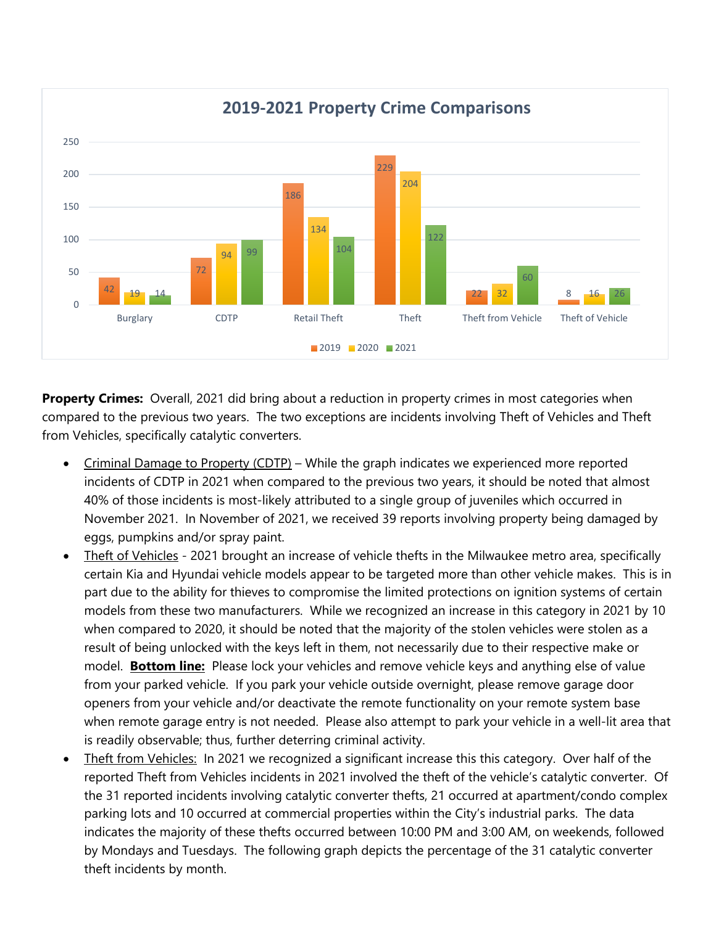

**Property Crimes:** Overall, 2021 did bring about a reduction in property crimes in most categories when compared to the previous two years. The two exceptions are incidents involving Theft of Vehicles and Theft from Vehicles, specifically catalytic converters.

- Criminal Damage to Property (CDTP) While the graph indicates we experienced more reported incidents of CDTP in 2021 when compared to the previous two years, it should be noted that almost 40% of those incidents is most-likely attributed to a single group of juveniles which occurred in November 2021. In November of 2021, we received 39 reports involving property being damaged by eggs, pumpkins and/or spray paint.
- Theft of Vehicles 2021 brought an increase of vehicle thefts in the Milwaukee metro area, specifically certain Kia and Hyundai vehicle models appear to be targeted more than other vehicle makes. This is in part due to the ability for thieves to compromise the limited protections on ignition systems of certain models from these two manufacturers. While we recognized an increase in this category in 2021 by 10 when compared to 2020, it should be noted that the majority of the stolen vehicles were stolen as a result of being unlocked with the keys left in them, not necessarily due to their respective make or model. **Bottom line:** Please lock your vehicles and remove vehicle keys and anything else of value from your parked vehicle. If you park your vehicle outside overnight, please remove garage door openers from your vehicle and/or deactivate the remote functionality on your remote system base when remote garage entry is not needed. Please also attempt to park your vehicle in a well-lit area that is readily observable; thus, further deterring criminal activity.
- Theft from Vehicles: In 2021 we recognized a significant increase this this category. Over half of the reported Theft from Vehicles incidents in 2021 involved the theft of the vehicle's catalytic converter. Of the 31 reported incidents involving catalytic converter thefts, 21 occurred at apartment/condo complex parking lots and 10 occurred at commercial properties within the City's industrial parks. The data indicates the majority of these thefts occurred between 10:00 PM and 3:00 AM, on weekends, followed by Mondays and Tuesdays. The following graph depicts the percentage of the 31 catalytic converter theft incidents by month.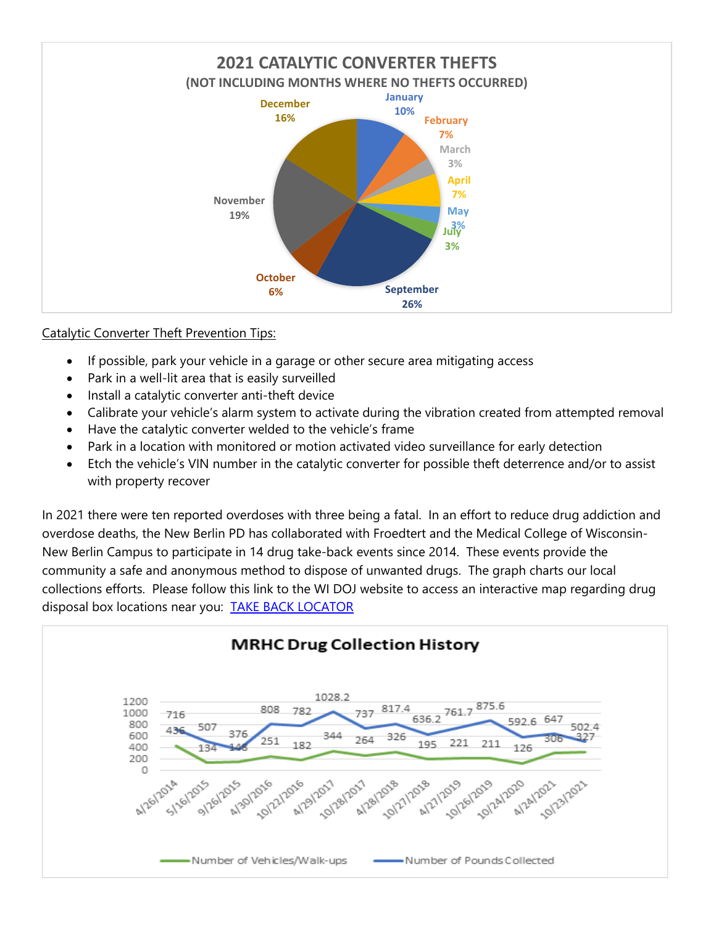

## Catalytic Converter Theft Prevention Tips:

- If possible, park your vehicle in a garage or other secure area mitigating access
- Park in a well-lit area that is easily surveilled
- Install a catalytic converter anti-theft device
- Calibrate your vehicle's alarm system to activate during the vibration created from attempted removal
- Have the catalytic converter welded to the vehicle's frame
- Park in a location with monitored or motion activated video surveillance for early detection
- Etch the vehicle's VIN number in the catalytic converter for possible theft deterrence and/or to assist with property recover

In 2021 there were ten reported overdoses with three being a fatal. In an effort to reduce drug addiction and overdose deaths, the New Berlin PD has collaborated with Froedtert and the Medical College of Wisconsin-New Berlin Campus to participate in 14 drug take-back events since 2014. These events provide the community a safe and anonymous method to dispose of unwanted drugs. The graph charts our local collections efforts. Please follow this link to the WI DOJ website to access an interactive map regarding drug disposal box locations near you: [TAKE BACK LOCATOR](https://doseofrealitywi.gov/drug-takeback/find-a-take-back-location/) 

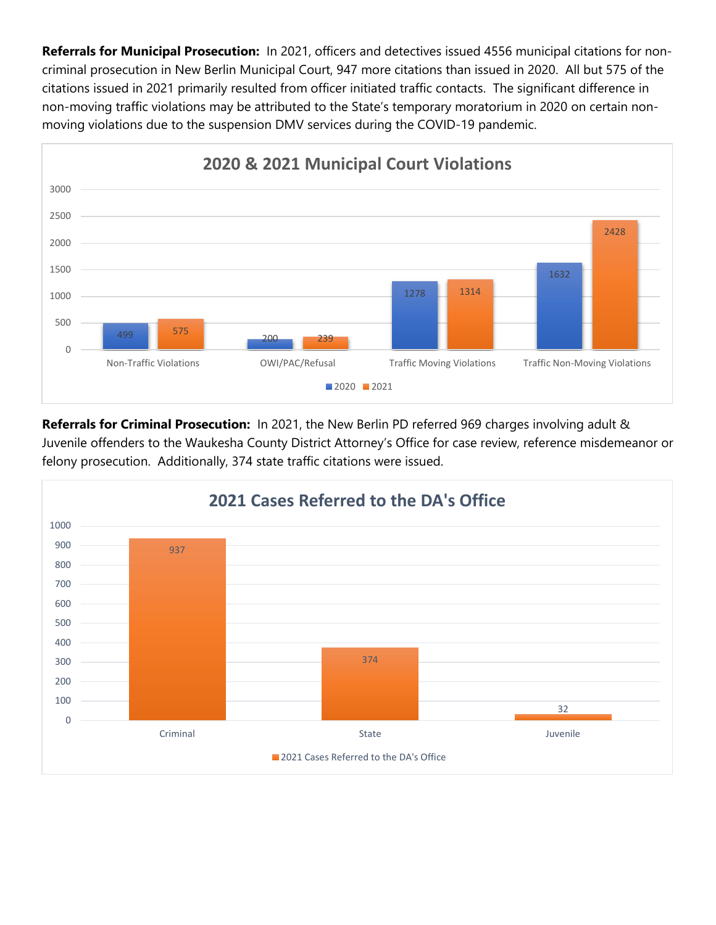**Referrals for Municipal Prosecution:** In 2021, officers and detectives issued 4556 municipal citations for noncriminal prosecution in New Berlin Municipal Court, 947 more citations than issued in 2020. All but 575 of the citations issued in 2021 primarily resulted from officer initiated traffic contacts. The significant difference in non-moving traffic violations may be attributed to the State's temporary moratorium in 2020 on certain nonmoving violations due to the suspension DMV services during the COVID-19 pandemic.



**Referrals for Criminal Prosecution:** In 2021, the New Berlin PD referred 969 charges involving adult & Juvenile offenders to the Waukesha County District Attorney's Office for case review, reference misdemeanor or felony prosecution. Additionally, 374 state traffic citations were issued.

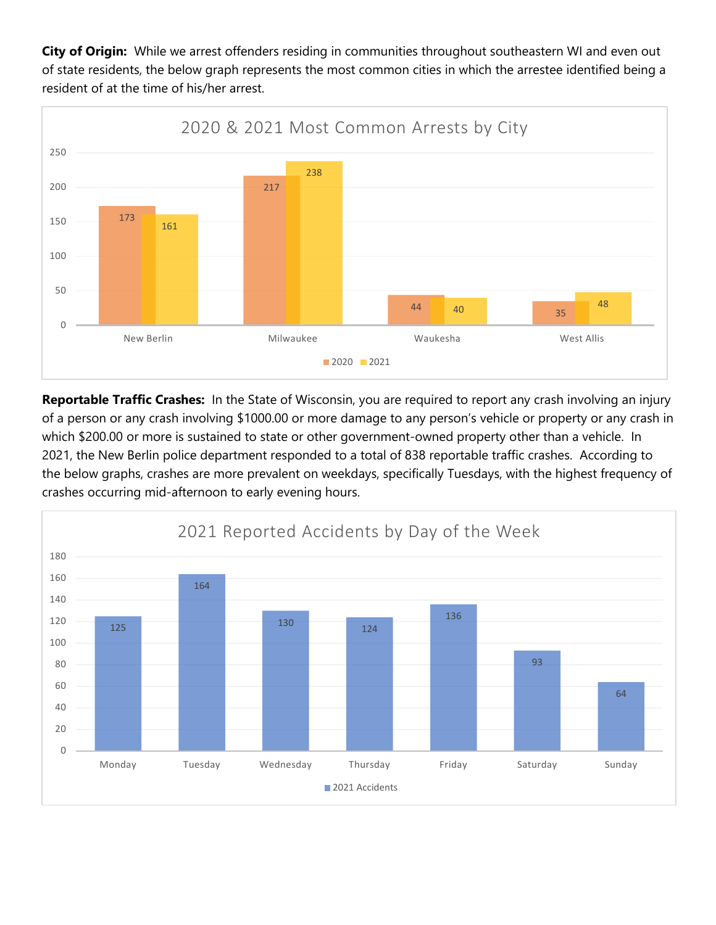**City of Origin:** While we arrest offenders residing in communities throughout southeastern WI and even out of state residents, the below graph represents the most common cities in which the arrestee identified being a resident of at the time of his/her arrest.



**Reportable Traffic Crashes:** In the State of Wisconsin, you are required to report any crash involving an injury of a person or any crash involving \$1000.00 or more damage to any person's vehicle or property or any crash in which \$200.00 or more is sustained to state or other government-owned property other than a vehicle. In 2021, the New Berlin police department responded to a total of 838 reportable traffic crashes. According to the below graphs, crashes are more prevalent on weekdays, specifically Tuesdays, with the highest frequency of crashes occurring mid-afternoon to early evening hours.